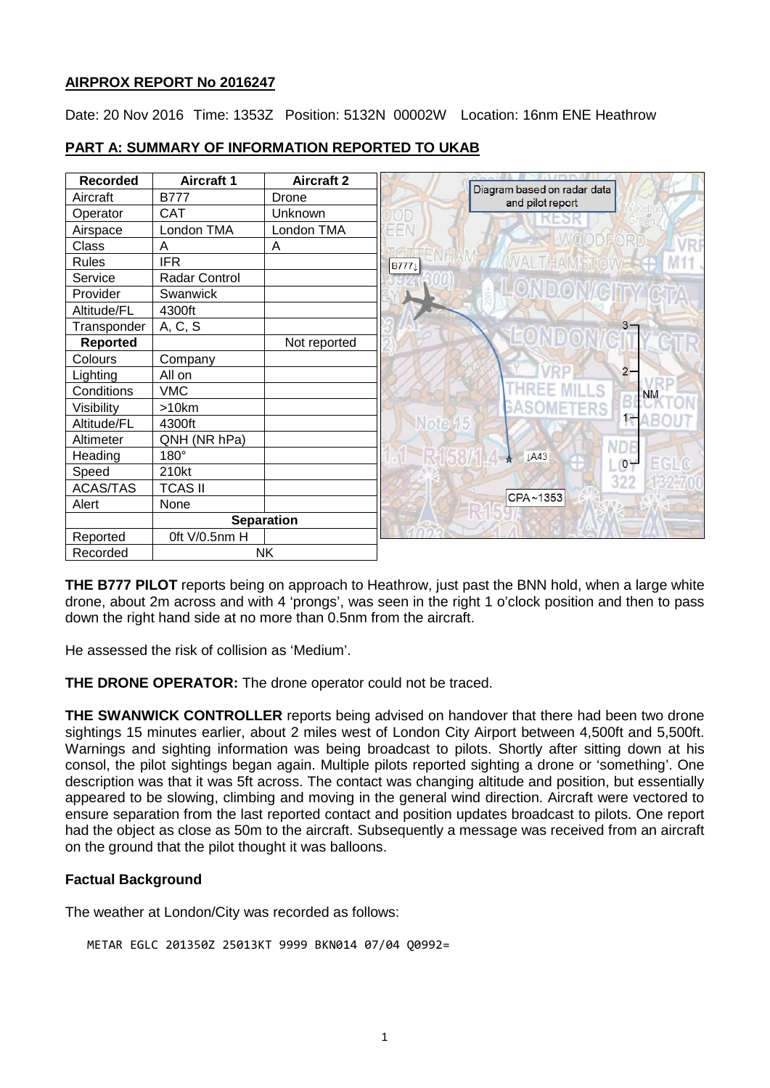### **AIRPROX REPORT No 2016247**

Date: 20 Nov 2016 Time: 1353Z Position: 5132N 00002W Location: 16nm ENE Heathrow



# **PART A: SUMMARY OF INFORMATION REPORTED TO UKAB**

**THE B777 PILOT** reports being on approach to Heathrow, just past the BNN hold, when a large white drone, about 2m across and with 4 'prongs', was seen in the right 1 o'clock position and then to pass down the right hand side at no more than 0.5nm from the aircraft.

He assessed the risk of collision as 'Medium'.

**THE DRONE OPERATOR:** The drone operator could not be traced.

**THE SWANWICK CONTROLLER** reports being advised on handover that there had been two drone sightings 15 minutes earlier, about 2 miles west of London City Airport between 4,500ft and 5,500ft. Warnings and sighting information was being broadcast to pilots. Shortly after sitting down at his consol, the pilot sightings began again. Multiple pilots reported sighting a drone or 'something'. One description was that it was 5ft across. The contact was changing altitude and position, but essentially appeared to be slowing, climbing and moving in the general wind direction. Aircraft were vectored to ensure separation from the last reported contact and position updates broadcast to pilots. One report had the object as close as 50m to the aircraft. Subsequently a message was received from an aircraft on the ground that the pilot thought it was balloons.

## **Factual Background**

The weather at London/City was recorded as follows:

METAR EGLC 201350Z 25013KT 9999 BKN014 07/04 Q0992=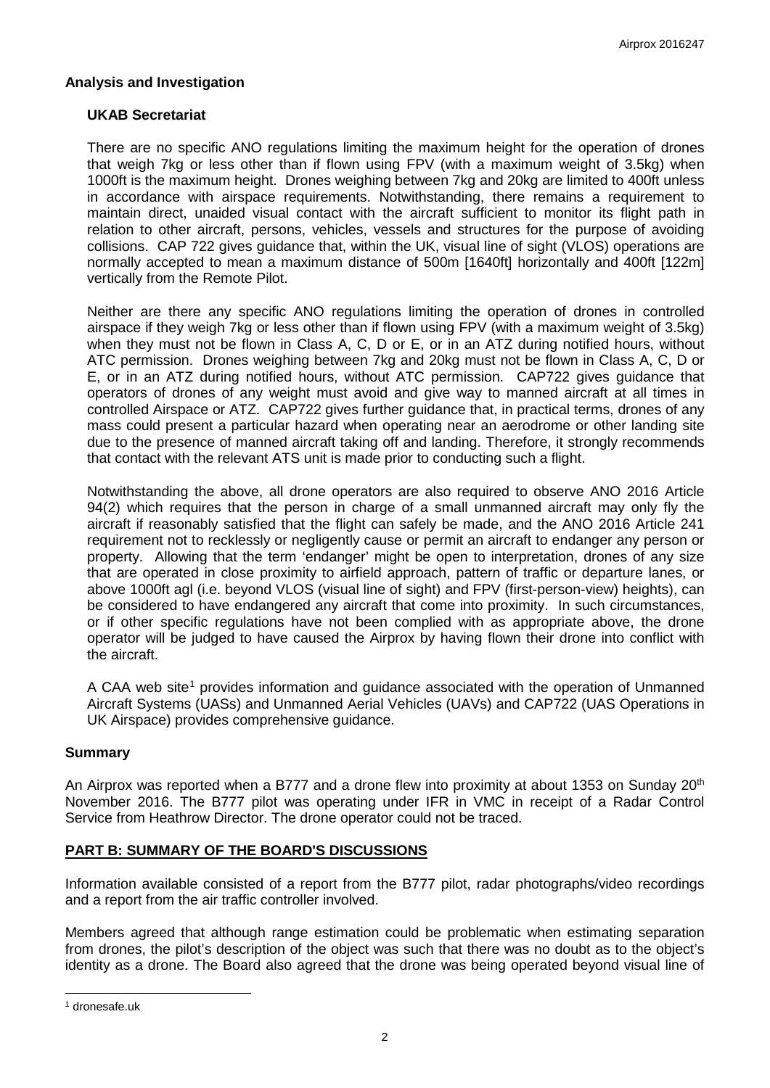#### **Analysis and Investigation**

#### **UKAB Secretariat**

There are no specific ANO regulations limiting the maximum height for the operation of drones that weigh 7kg or less other than if flown using FPV (with a maximum weight of 3.5kg) when 1000ft is the maximum height. Drones weighing between 7kg and 20kg are limited to 400ft unless in accordance with airspace requirements. Notwithstanding, there remains a requirement to maintain direct, unaided visual contact with the aircraft sufficient to monitor its flight path in relation to other aircraft, persons, vehicles, vessels and structures for the purpose of avoiding collisions. CAP 722 gives guidance that, within the UK, visual line of sight (VLOS) operations are normally accepted to mean a maximum distance of 500m [1640ft] horizontally and 400ft [122m] vertically from the Remote Pilot.

Neither are there any specific ANO regulations limiting the operation of drones in controlled airspace if they weigh 7kg or less other than if flown using FPV (with a maximum weight of 3.5kg) when they must not be flown in Class A, C, D or E, or in an ATZ during notified hours, without ATC permission. Drones weighing between 7kg and 20kg must not be flown in Class A, C, D or E, or in an ATZ during notified hours, without ATC permission. CAP722 gives guidance that operators of drones of any weight must avoid and give way to manned aircraft at all times in controlled Airspace or ATZ. CAP722 gives further guidance that, in practical terms, drones of any mass could present a particular hazard when operating near an aerodrome or other landing site due to the presence of manned aircraft taking off and landing. Therefore, it strongly recommends that contact with the relevant ATS unit is made prior to conducting such a flight.

Notwithstanding the above, all drone operators are also required to observe ANO 2016 Article 94(2) which requires that the person in charge of a small unmanned aircraft may only fly the aircraft if reasonably satisfied that the flight can safely be made, and the ANO 2016 Article 241 requirement not to recklessly or negligently cause or permit an aircraft to endanger any person or property. Allowing that the term 'endanger' might be open to interpretation, drones of any size that are operated in close proximity to airfield approach, pattern of traffic or departure lanes, or above 1000ft agl (i.e. beyond VLOS (visual line of sight) and FPV (first-person-view) heights), can be considered to have endangered any aircraft that come into proximity. In such circumstances, or if other specific regulations have not been complied with as appropriate above, the drone operator will be judged to have caused the Airprox by having flown their drone into conflict with the aircraft.

A CAA web site<sup>[1](#page-1-0)</sup> provides information and guidance associated with the operation of Unmanned Aircraft Systems (UASs) and Unmanned Aerial Vehicles (UAVs) and CAP722 (UAS Operations in UK Airspace) provides comprehensive guidance.

#### **Summary**

An Airprox was reported when a B777 and a drone flew into proximity at about 1353 on Sunday 20<sup>th</sup> November 2016. The B777 pilot was operating under IFR in VMC in receipt of a Radar Control Service from Heathrow Director. The drone operator could not be traced.

### **PART B: SUMMARY OF THE BOARD'S DISCUSSIONS**

Information available consisted of a report from the B777 pilot, radar photographs/video recordings and a report from the air traffic controller involved.

Members agreed that although range estimation could be problematic when estimating separation from drones, the pilot's description of the object was such that there was no doubt as to the object's identity as a drone. The Board also agreed that the drone was being operated beyond visual line of

 $\overline{\phantom{a}}$ 

<span id="page-1-0"></span><sup>1</sup> dronesafe.uk